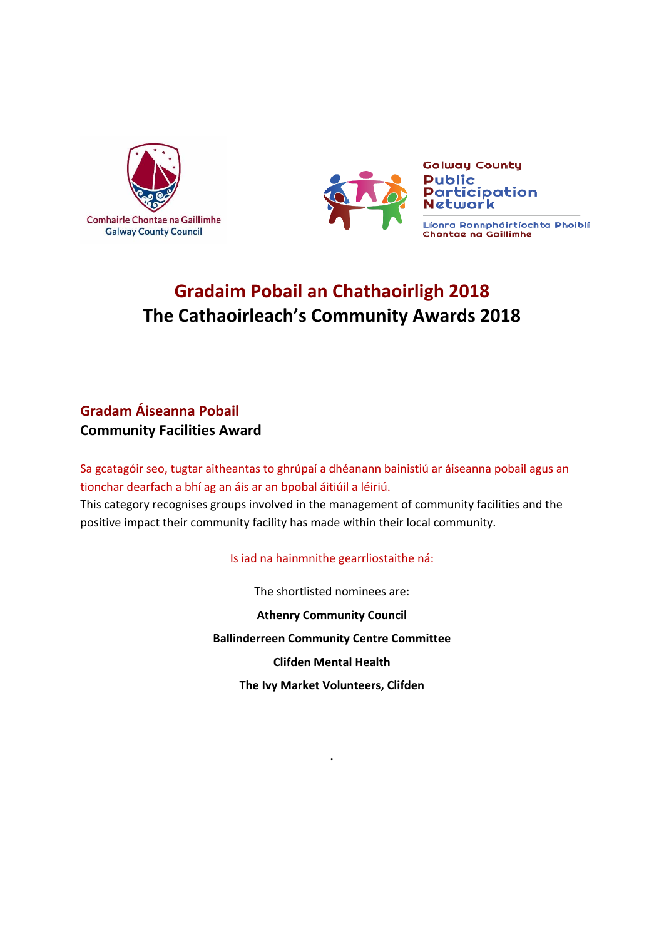



# **Gradaim Pobail an Chathaoirligh 2018 The Cathaoirleach's Community Awards 2018**

# **Gradam Áiseanna Pobail Community Facilities Award**

Sa gcatagóir seo, tugtar aitheantas to ghrúpaí a dhéanann bainistiú ar áiseanna pobail agus an tionchar dearfach a bhí ag an áis ar an bpobal áitiúil a léiriú. This category recognises groups involved in the management of community facilities and the positive impact their community facility has made within their local community.

### Is iad na hainmnithe gearrliostaithe ná:

The shortlisted nominees are: **Athenry Community Council**

**Ballinderreen Community Centre Committee**

**Clifden Mental Health**

**The Ivy Market Volunteers, Clifden**

**.**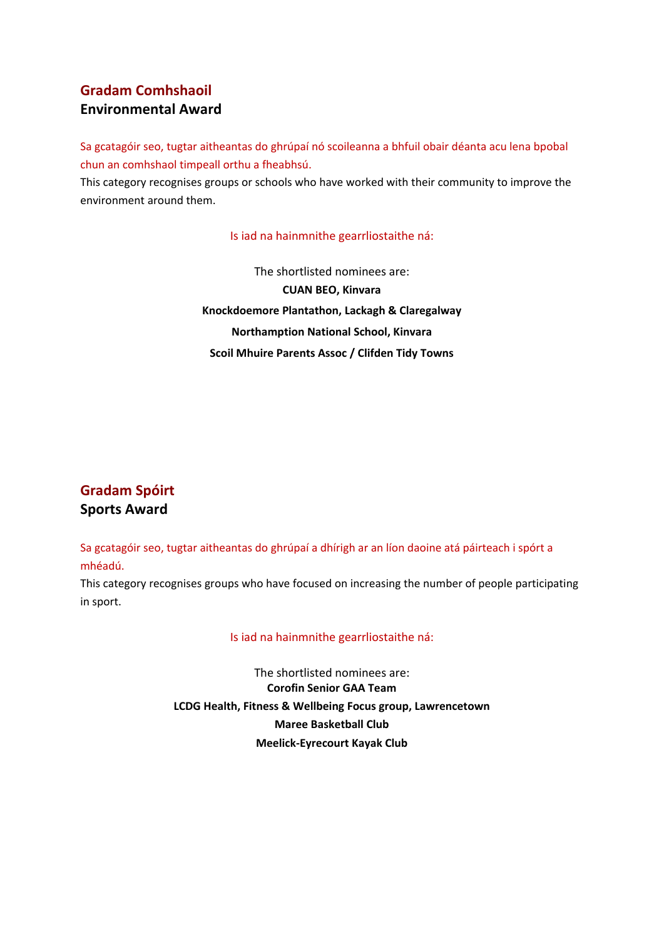### **Gradam Comhshaoil Environmental Award**

Sa gcatagóir seo, tugtar aitheantas do ghrúpaí nó scoileanna a bhfuil obair déanta acu lena bpobal chun an comhshaol timpeall orthu a fheabhsú.

This category recognises groups or schools who have worked with their community to improve the environment around them.

#### Is iad na hainmnithe gearrliostaithe ná:

The shortlisted nominees are: **CUAN BEO, Kinvara Knockdoemore Plantathon, Lackagh & Claregalway Northamption National School, Kinvara Scoil Mhuire Parents Assoc / Clifden Tidy Towns**

# **Gradam Spóirt Sports Award**

Sa gcatagóir seo, tugtar aitheantas do ghrúpaí a dhírigh ar an líon daoine atá páirteach i spórt a mhéadú.

This category recognises groups who have focused on increasing the number of people participating in sport.

#### Is iad na hainmnithe gearrliostaithe ná:

The shortlisted nominees are: **Corofin Senior GAA Team LCDG Health, Fitness & Wellbeing Focus group, Lawrencetown Maree Basketball Club Meelick-Eyrecourt Kayak Club**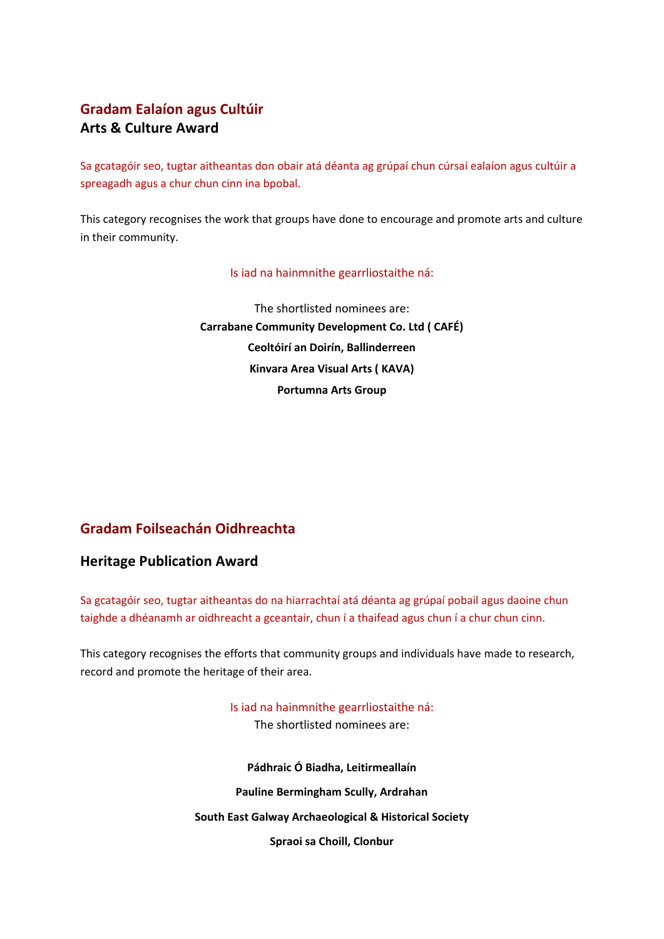### **Gradam Ealaíon agus Cultúir Arts & Culture Award**

Sa gcatagóir seo, tugtar aitheantas don obair atá déanta ag grúpaí chun cúrsaí ealaíon agus cultúir a spreagadh agus a chur chun cinn ina bpobal.

This category recognises the work that groups have done to encourage and promote arts and culture in their community.

#### Is iad na hainmnithe gearrliostaithe ná:

The shortlisted nominees are: **Carrabane Community Development Co. Ltd ( CAFÉ) Ceoltóirí an Doirín, Ballinderreen Kinvara Area Visual Arts ( KAVA) Portumna Arts Group**

### **Gradam Foilseachán Oidhreachta**

### **Heritage Publication Award**

Sa gcatagóir seo, tugtar aitheantas do na hiarrachtaí atá déanta ag grúpaí pobail agus daoine chun taighde a dhéanamh ar oidhreacht a gceantair, chun í a thaifead agus chun í a chur chun cinn.

This category recognises the efforts that community groups and individuals have made to research, record and promote the heritage of their area.

> Is iad na hainmnithe gearrliostaithe ná: The shortlisted nominees are: **Pádhraic Ó Biadha, Leitirmeallaín Pauline Bermingham Scully, Ardrahan South East Galway Archaeological & Historical Society Spraoi sa Choill, Clonbur**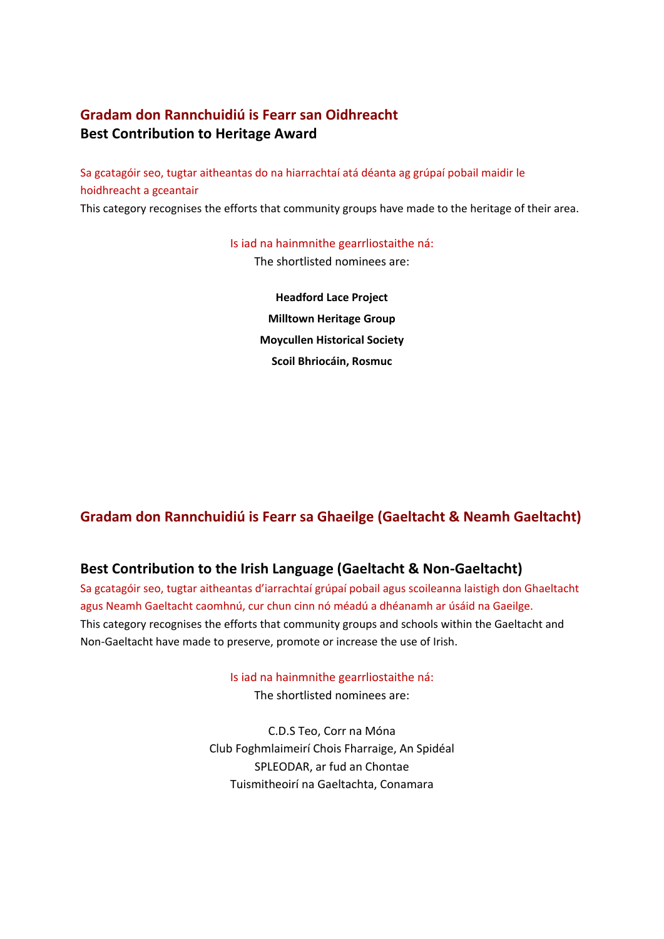# **Gradam don Rannchuidiú is Fearr san Oidhreacht Best Contribution to Heritage Award**

Sa gcatagóir seo, tugtar aitheantas do na hiarrachtaí atá déanta ag grúpaí pobail maidir le hoidhreacht a gceantair

This category recognises the efforts that community groups have made to the heritage of their area.

Is iad na hainmnithe gearrliostaithe ná:

The shortlisted nominees are:

**Headford Lace Project Milltown Heritage Group Moycullen Historical Society Scoil Bhriocáin, Rosmuc**

# **Gradam don Rannchuidiú is Fearr sa Ghaeilge (Gaeltacht & Neamh Gaeltacht)**

### **Best Contribution to the Irish Language (Gaeltacht & Non-Gaeltacht)**

Sa gcatagóir seo, tugtar aitheantas d'iarrachtaí grúpaí pobail agus scoileanna laistigh don Ghaeltacht agus Neamh Gaeltacht caomhnú, cur chun cinn nó méadú a dhéanamh ar úsáid na Gaeilge. This category recognises the efforts that community groups and schools within the Gaeltacht and Non-Gaeltacht have made to preserve, promote or increase the use of Irish.

Is iad na hainmnithe gearrliostaithe ná:

The shortlisted nominees are:

C.D.S Teo, Corr na Móna Club Foghmlaimeirí Chois Fharraige, An Spidéal SPLEODAR, ar fud an Chontae Tuismitheoirí na Gaeltachta, Conamara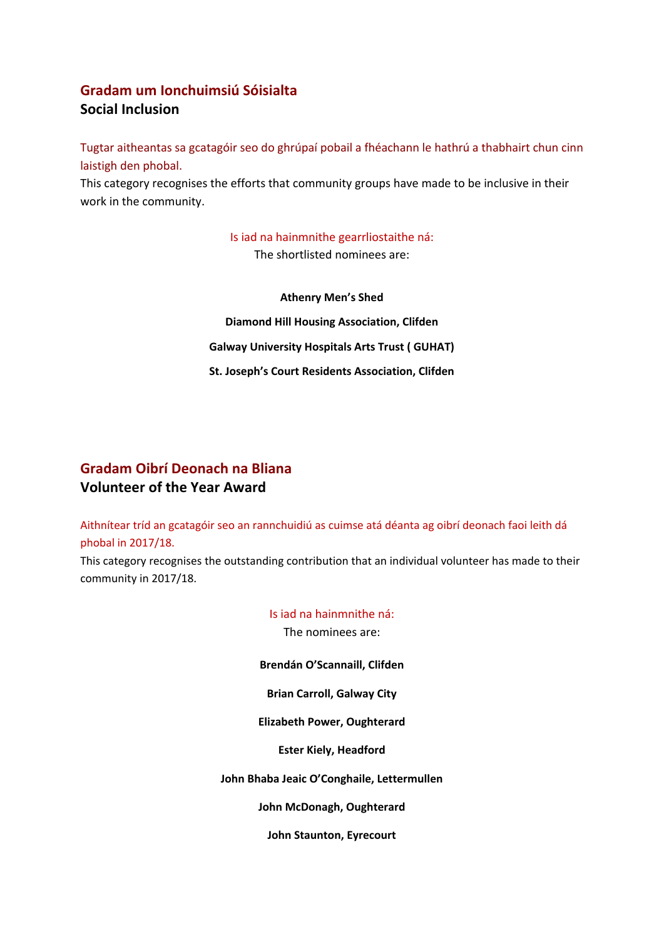# **Gradam um Ionchuimsiú Sóisialta Social Inclusion**

Tugtar aitheantas sa gcatagóir seo do ghrúpaí pobail a fhéachann le hathrú a thabhairt chun cinn laistigh den phobal.

This category recognises the efforts that community groups have made to be inclusive in their work in the community.

> Is iad na hainmnithe gearrliostaithe ná: The shortlisted nominees are:

**Athenry Men's Shed Diamond Hill Housing Association, Clifden Galway University Hospitals Arts Trust ( GUHAT) St. Joseph's Court Residents Association, Clifden**

# **Gradam Oibrí Deonach na Bliana Volunteer of the Year Award**

Aithnítear tríd an gcatagóir seo an rannchuidiú as cuimse atá déanta ag oibrí deonach faoi leith dá phobal in 2017/18.

This category recognises the outstanding contribution that an individual volunteer has made to their community in 2017/18.

> Is iad na hainmnithe ná: The nominees are: **Brendán O'Scannaill, Clifden Brian Carroll, Galway City Elizabeth Power, Oughterard Ester Kiely, Headford John Bhaba Jeaic O'Conghaile, Lettermullen John McDonagh, Oughterard John Staunton, Eyrecourt**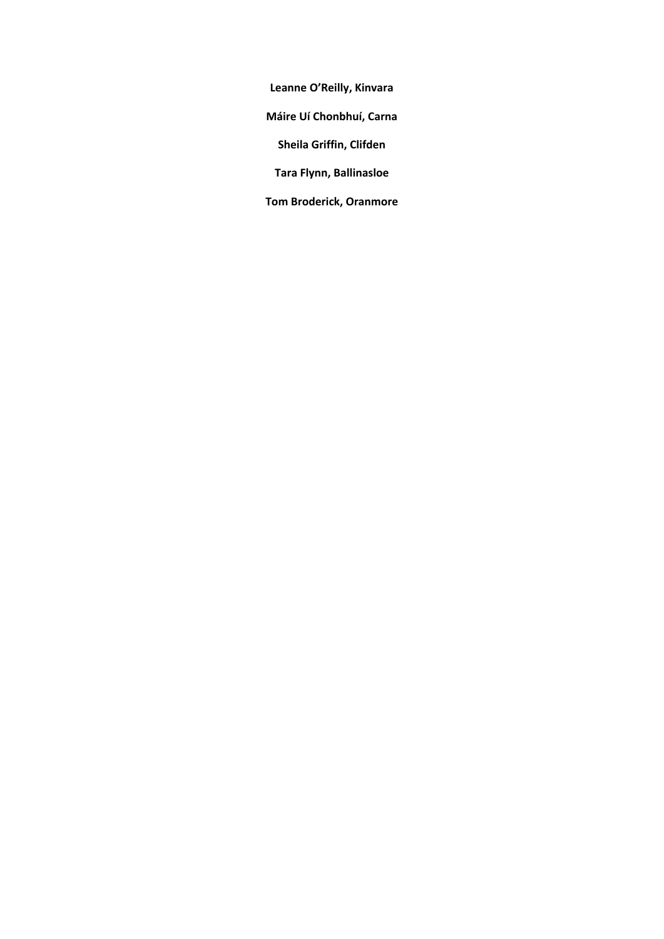**Leanne O'Reilly, Kinvara**

**Máire Uí Chonbhuí, Carna**

**Sheila Griffin, Clifden**

**Tara Flynn, Ballinasloe**

**Tom Broderick, Oranmore**